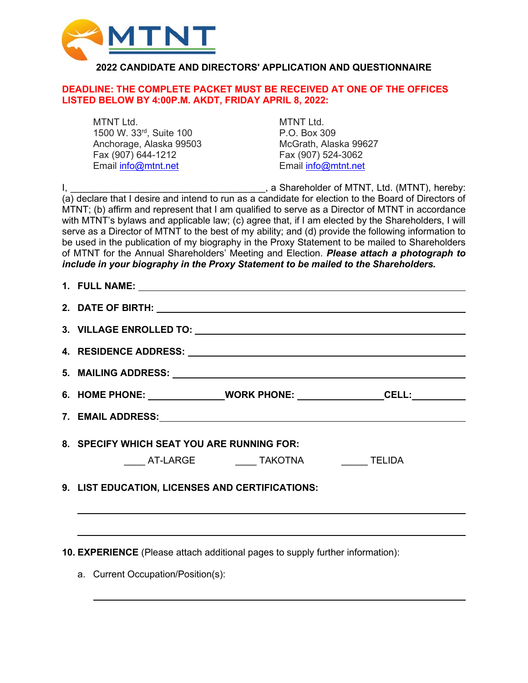

## **2022 CANDIDATE AND DIRECTORS' APPLICATION AND QUESTIONNAIRE**

### **DEADLINE: THE COMPLETE PACKET MUST BE RECEIVED AT ONE OF THE OFFICES LISTED BELOW BY 4:00P.M. AKDT, FRIDAY APRIL 8, 2022:**

MTNT Ltd. 6. MTNT Ltd. 1500 W. 33rd, Suite 100 P.O. Box 309 Anchorage, Alaska 99503 McGrath, Alaska 99627 Fax (907) 644-1212 Fax (907) 524-3062 Email [info@mtnt.net](mailto:info@mtnt.net)

I, \_\_\_\_\_\_\_\_\_\_\_\_\_\_\_\_\_\_\_\_\_\_\_\_\_\_\_\_\_\_\_\_\_\_\_\_\_, a Shareholder of MTNT, Ltd. (MTNT), hereby: (a) declare that I desire and intend to run as a candidate for election to the Board of Directors of MTNT; (b) affirm and represent that I am qualified to serve as a Director of MTNT in accordance with MTNT's bylaws and applicable law; (c) agree that, if I am elected by the Shareholders, I will serve as a Director of MTNT to the best of my ability; and (d) provide the following information to be used in the publication of my biography in the Proxy Statement to be mailed to Shareholders of MTNT for the Annual Shareholders' Meeting and Election. *Please attach a photograph to include in your biography in the Proxy Statement to be mailed to the Shareholders.*

| 6. HOME PHONE: _______________________WORK PHONE: ____________________CELL:______ |
|-----------------------------------------------------------------------------------|
|                                                                                   |
| 8. SPECIFY WHICH SEAT YOU ARE RUNNING FOR:                                        |
| ______ AT-LARGE _____________ TAKOTNA _____________ TELIDA                        |
| 9. LIST EDUCATION, LICENSES AND CERTIFICATIONS:                                   |
|                                                                                   |

**10. EXPERIENCE** (Please attach additional pages to supply further information):

a. Current Occupation/Position(s):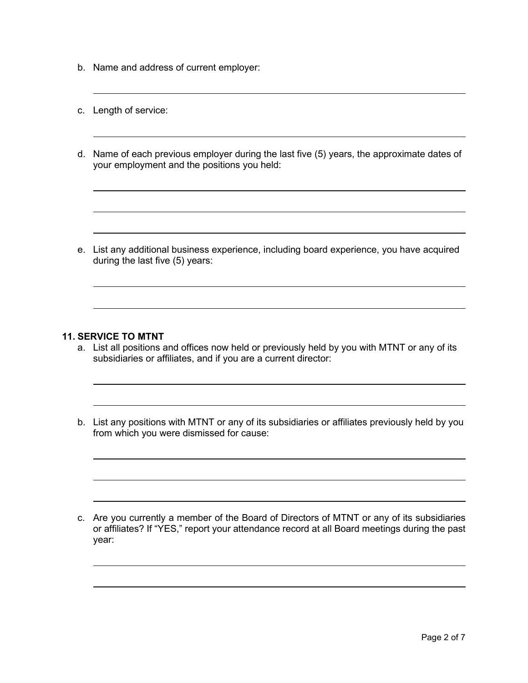- b. Name and address of current employer:
- c. Length of service:
- d. Name of each previous employer during the last five (5) years, the approximate dates of your employment and the positions you held:

e. List any additional business experience, including board experience, you have acquired during the last five (5) years:

### **11. SERVICE TO MTNT**

- a. List all positions and offices now held or previously held by you with MTNT or any of its subsidiaries or affiliates, and if you are a current director:
- b. List any positions with MTNT or any of its subsidiaries or affiliates previously held by you from which you were dismissed for cause:

c. Are you currently a member of the Board of Directors of MTNT or any of its subsidiaries or affiliates? If "YES," report your attendance record at all Board meetings during the past year: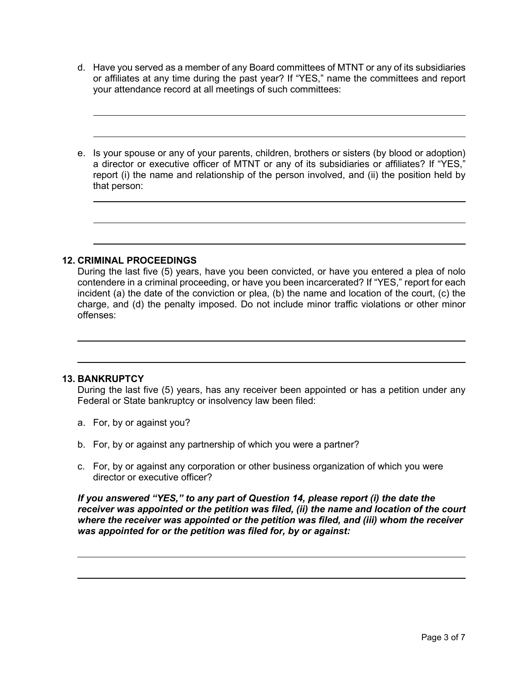- d. Have you served as a member of any Board committees of MTNT or any of its subsidiaries or affiliates at any time during the past year? If "YES," name the committees and report your attendance record at all meetings of such committees:
- e. Is your spouse or any of your parents, children, brothers or sisters (by blood or adoption) a director or executive officer of MTNT or any of its subsidiaries or affiliates? If "YES," report (i) the name and relationship of the person involved, and (ii) the position held by that person:

#### **12. CRIMINAL PROCEEDINGS**

During the last five (5) years, have you been convicted, or have you entered a plea of nolo contendere in a criminal proceeding, or have you been incarcerated? If "YES," report for each incident (a) the date of the conviction or plea, (b) the name and location of the court, (c) the charge, and (d) the penalty imposed. Do not include minor traffic violations or other minor offenses:

#### **13. BANKRUPTCY**

During the last five (5) years, has any receiver been appointed or has a petition under any Federal or State bankruptcy or insolvency law been filed:

- a. For, by or against you?
- b. For, by or against any partnership of which you were a partner?
- c. For, by or against any corporation or other business organization of which you were director or executive officer?

*If you answered "YES," to any part of Question 14, please report (i) the date the receiver was appointed or the petition was filed, (ii) the name and location of the court where the receiver was appointed or the petition was filed, and (iii) whom the receiver was appointed for or the petition was filed for, by or against:*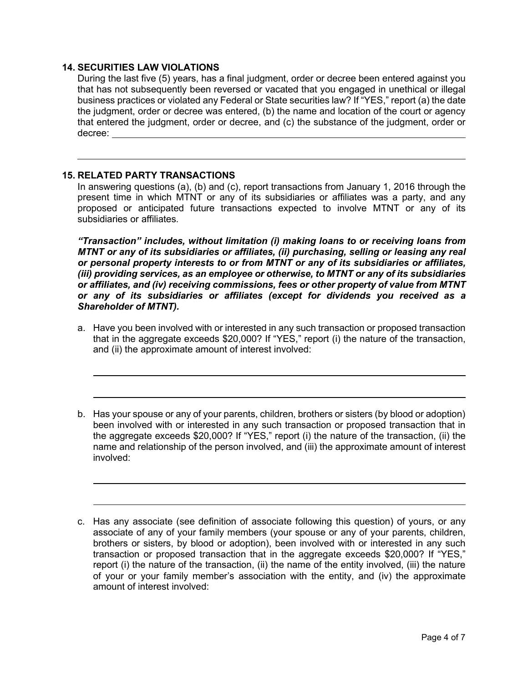### **14. SECURITIES LAW VIOLATIONS**

During the last five (5) years, has a final judgment, order or decree been entered against you that has not subsequently been reversed or vacated that you engaged in unethical or illegal business practices or violated any Federal or State securities law? If "YES," report (a) the date the judgment, order or decree was entered, (b) the name and location of the court or agency that entered the judgment, order or decree, and (c) the substance of the judgment, order or decree:

### **15. RELATED PARTY TRANSACTIONS**

In answering questions (a), (b) and (c), report transactions from January 1, 2016 through the present time in which MTNT or any of its subsidiaries or affiliates was a party, and any proposed or anticipated future transactions expected to involve MTNT or any of its subsidiaries or affiliates*.*

*"Transaction" includes, without limitation (i) making loans to or receiving loans from MTNT or any of its subsidiaries or affiliates, (ii) purchasing, selling or leasing any real or personal property interests to or from MTNT or any of its subsidiaries or affiliates, (iii) providing services, as an employee or otherwise, to MTNT or any of its subsidiaries or affiliates, and (iv) receiving commissions, fees or other property of value from MTNT or any of its subsidiaries or affiliates (except for dividends you received as a Shareholder of MTNT).*

- a. Have you been involved with or interested in any such transaction or proposed transaction that in the aggregate exceeds \$20,000? If "YES," report (i) the nature of the transaction, and (ii) the approximate amount of interest involved:
- b. Has your spouse or any of your parents, children, brothers or sisters (by blood or adoption) been involved with or interested in any such transaction or proposed transaction that in the aggregate exceeds \$20,000? If "YES," report (i) the nature of the transaction, (ii) the name and relationship of the person involved, and (iii) the approximate amount of interest involved:

c. Has any associate (see definition of associate following this question) of yours, or any associate of any of your family members (your spouse or any of your parents, children, brothers or sisters, by blood or adoption), been involved with or interested in any such transaction or proposed transaction that in the aggregate exceeds \$20,000? If "YES," report (i) the nature of the transaction, (ii) the name of the entity involved, (iii) the nature of your or your family member's association with the entity, and (iv) the approximate amount of interest involved: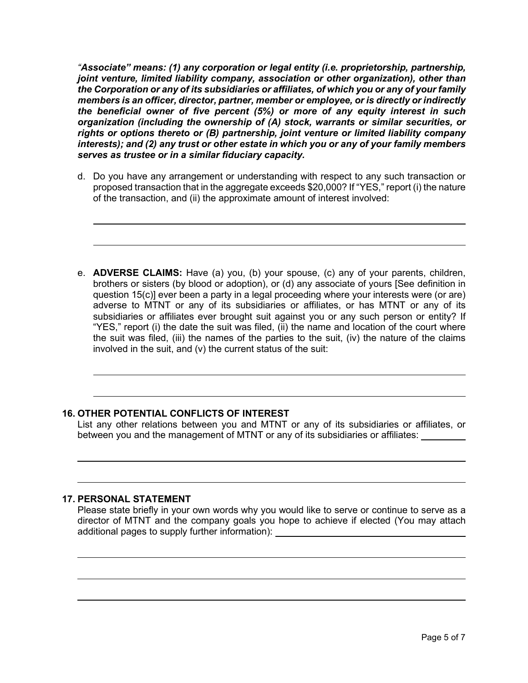*"Associate" means: (1) any corporation or legal entity (i.e. proprietorship, partnership, joint venture, limited liability company, association or other organization), other than the Corporation or any of its subsidiaries or affiliates, of which you or any of your family members is an officer, director, partner, member or employee, or is directly or indirectly the beneficial owner of five percent (5%) or more of any equity interest in such organization (including the ownership of (A) stock, warrants or similar securities, or rights or options thereto or (B) partnership, joint venture or limited liability company interests); and (2) any trust or other estate in which you or any of your family members serves as trustee or in a similar fiduciary capacity.*

- d. Do you have any arrangement or understanding with respect to any such transaction or proposed transaction that in the aggregate exceeds \$20,000? If "YES," report (i) the nature of the transaction, and (ii) the approximate amount of interest involved:
- e. **ADVERSE CLAIMS:** Have (a) you, (b) your spouse, (c) any of your parents, children, brothers or sisters (by blood or adoption), or (d) any associate of yours [See definition in question 15(c)] ever been a party in a legal proceeding where your interests were (or are) adverse to MTNT or any of its subsidiaries or affiliates, or has MTNT or any of its subsidiaries or affiliates ever brought suit against you or any such person or entity? If "YES," report (i) the date the suit was filed, (ii) the name and location of the court where the suit was filed, (iii) the names of the parties to the suit, (iv) the nature of the claims involved in the suit, and (v) the current status of the suit:

## **16. OTHER POTENTIAL CONFLICTS OF INTEREST**

List any other relations between you and MTNT or any of its subsidiaries or affiliates, or between you and the management of MTNT or any of its subsidiaries or affiliates:

## **17. PERSONAL STATEMENT**

Please state briefly in your own words why you would like to serve or continue to serve as a director of MTNT and the company goals you hope to achieve if elected (You may attach additional pages to supply further information):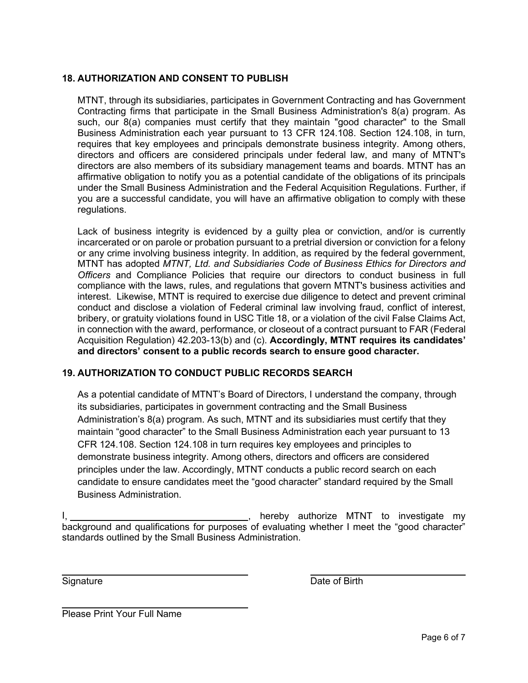# **18. AUTHORIZATION AND CONSENT TO PUBLISH**

MTNT, through its subsidiaries, participates in Government Contracting and has Government Contracting firms that participate in the Small Business Administration's 8(a) program. As such, our 8(a) companies must certify that they maintain "good character" to the Small Business Administration each year pursuant to 13 CFR 124.108. Section 124.108, in turn, requires that key employees and principals demonstrate business integrity. Among others, directors and officers are considered principals under federal law, and many of MTNT's directors are also members of its subsidiary management teams and boards. MTNT has an affirmative obligation to notify you as a potential candidate of the obligations of its principals under the Small Business Administration and the Federal Acquisition Regulations. Further, if you are a successful candidate, you will have an affirmative obligation to comply with these regulations.

Lack of business integrity is evidenced by a guilty plea or conviction, and/or is currently incarcerated or on parole or probation pursuant to a pretrial diversion or conviction for a felony or any crime involving business integrity. In addition, as required by the federal government, MTNT has adopted *MTNT, Ltd. and Subsidiaries Code of Business Ethics for Directors and Officers* and Compliance Policies that require our directors to conduct business in full compliance with the laws, rules, and regulations that govern MTNT's business activities and interest. Likewise, MTNT is required to exercise due diligence to detect and prevent criminal conduct and disclose a violation of Federal criminal law involving fraud, conflict of interest, bribery, or gratuity violations found in USC Title 18, or a violation of the civil False Claims Act, in connection with the award, performance, or closeout of a contract pursuant to FAR (Federal Acquisition Regulation) 42.203-13(b) and (c). **Accordingly, MTNT requires its candidates' and directors' consent to a public records search to ensure good character.** 

## **19. AUTHORIZATION TO CONDUCT PUBLIC RECORDS SEARCH**

As a potential candidate of MTNT's Board of Directors, I understand the company, through its subsidiaries, participates in government contracting and the Small Business Administration's 8(a) program. As such, MTNT and its subsidiaries must certify that they maintain "good character" to the Small Business Administration each year pursuant to 13 CFR 124.108. Section 124.108 in turn requires key employees and principles to demonstrate business integrity. Among others, directors and officers are considered principles under the law. Accordingly, MTNT conducts a public record search on each candidate to ensure candidates meet the "good character" standard required by the Small Business Administration.

I, , hereby authorize MTNT to investigate my background and qualifications for purposes of evaluating whether I meet the "good character" standards outlined by the Small Business Administration.

Signature **Date of Birth** 

Please Print Your Full Name